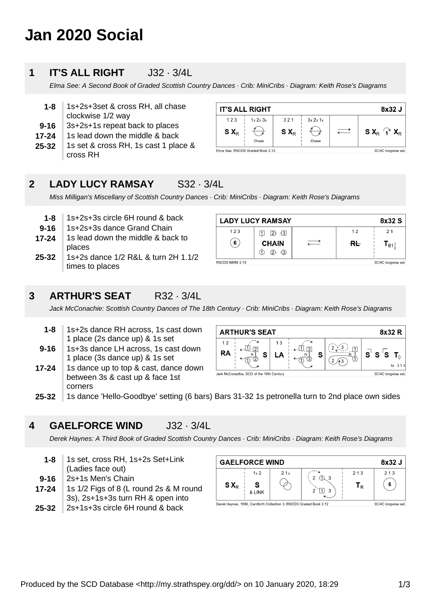# **Jan 2020 Social**

#### **1 IT'S ALL RIGHT** J32 · 3/4L

Elma See: A Second Book of Graded Scottish Country Dances · Crib: MiniCribs · Diagram: Keith Rose's Diagrams

- **9-16 1-8** 1s+2s+3set & cross RH, all chase clockwise 1/2 way 3s+2s+1s repeat back to places
- **17-24** 1s lead down the middle & back
- **25-32** 1s set & cross RH, 1s cast 1 place & cross RH

| 8x32 J<br><b>IT'S ALL RIGHT</b>                         |                              |         |          |  |                             |
|---------------------------------------------------------|------------------------------|---------|----------|--|-----------------------------|
| 123                                                     | $1 \times 2 \times 3 \times$ | 321     | 3x 2x 1x |  |                             |
| $S X_R$                                                 |                              | $S X_R$ |          |  | $S X_R \nightharpoonup X_R$ |
|                                                         | Chase                        |         | Chase    |  |                             |
| Elma See, RSCDS Graded Book 2.12<br>3C/4C longwise set. |                              |         |          |  |                             |

### **2 LADY LUCY RAMSAY** S32 · 3/4L

Miss Milligan's Miscellany of Scottish Country Dances · Crib: MiniCribs · Diagram: Keith Rose's Diagrams

**25-32 17-24 9-16 1-8** 1s+2s+3s circle 6H round & back 1s+2s+3s dance Grand Chain 1s lead down the middle & back to places 1s+2s dance 1/2 R&L & turn 2H 1.1/2 times to places

|                | <b>LADY LUCY RAMSAY</b>                     |  |               | 8x32 S                                  |
|----------------|---------------------------------------------|--|---------------|-----------------------------------------|
| 123            | $\overline{3}$<br>12 F<br>$\vert$ 1 $\vert$ |  | 12            | 21                                      |
| 6              | <b>CHAIN</b><br>$\overline{3}$<br>2)-<br>11 |  | <del>RL</del> | $\mathbf{T}_{\mathsf{B1}^1_\mathsf{a}}$ |
| RSCDS MMM 2.19 |                                             |  |               | 3C/4C longwise set.                     |

**3 ARTHUR'S SEAT** R32 · 3/4L

Jack McConachie: Scottish Country Dances of The 18th Century · Crib: MiniCribs · Diagram: Keith Rose's Diagrams

- **1-8** 1s+2s dance RH across, 1s cast down 1 place (2s dance up) & 1s set
- **9-16** 1s+3s dance LH across, 1s cast down 1 place (3s dance up) & 1s set
- **17-24** 1s dance up to top & cast, dance down between 3s & cast up & face 1st corners



**25-32** 1s dance 'Hello-Goodbye' setting (6 bars) Bars 31-32 1s petronella turn to 2nd place own sides

#### **4** GAELFORCE WIND **J32 · 3/4L**

Derek Haynes: A Third Book of Graded Scottish Country Dances · Crib: MiniCribs · Diagram: Keith Rose's Diagrams

**1-8** 1s set, cross RH, 1s+2s Set+Link (Ladies face out)

**9-16** 2s+1s Men's Chain

- **17-24** 1s 1/2 Figs of 8 (L round 2s & M round 3s), 2s+1s+3s turn RH & open into
- **25-32** 2s+1s+3s circle 6H round & back

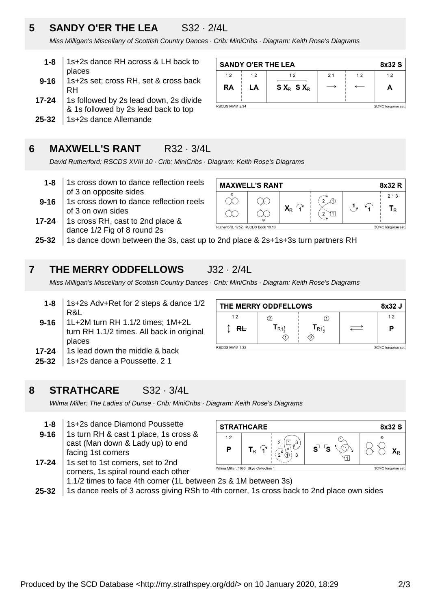# **5 SANDY O'ER THE LEA** S32 · 2/4L

Miss Milligan's Miscellany of Scottish Country Dances · Crib: MiniCribs · Diagram: Keith Rose's Diagrams

- **1-8** 1s+2s dance RH across & LH back to places
- **9-16** 1s+2s set; cross RH, set & cross back RH
- **17-24** 1s followed by 2s lead down, 2s divide & 1s followed by 2s lead back to top
- **25-32** 1s+2s dance Allemande

# **6 MAXWELL'S RANT** R32 · 3/4L

David Rutherford: RSCDS XVIII 10 · Crib: MiniCribs · Diagram: Keith Rose's Diagrams

- **1-8** 1s cross down to dance reflection reels of 3 on opposite sides
- **9-16** 1s cross down to dance reflection reels of 3 on own sides
- **17-24** 1s cross RH, cast to 2nd place & dance 1/2 Fig of 8 round 2s



**25-32** 1s dance down between the 3s, cast up to 2nd place & 2s+1s+3s turn partners RH

# **7 THE MERRY ODDFELLOWS** J32 · 2/4L

Miss Milligan's Miscellany of Scottish Country Dances · Crib: MiniCribs · Diagram: Keith Rose's Diagrams

**9-16 1-8** 1s+2s Adv+Ret for 2 steps & dance 1/2 R&L 1L+2M turn RH 1.1/2 times; 1M+2L

| turn RH 1.1/2 times. All back in original |
|-------------------------------------------|
| places                                    |
| بإمعط فمالواء نموطئه وسرواه امعمل والا    |

- **17-24** 1s lead down the middle & back
- **25-32** 1s+2s dance a Poussette. 2 1

# **8 STRATHCARE** S32 · 3/4L

Wilma Miller: The Ladies of Dunse · Crib: MiniCribs · Diagram: Keith Rose's Diagrams

- **1-8** 1s+2s dance Diamond Poussette
- **9-16** 1s turn RH & cast 1 place, 1s cross & cast (Man down & Lady up) to end facing 1st corners

| 8x32 S<br><b>STRATHCARE</b>                               |                      |   |               |  |
|-----------------------------------------------------------|----------------------|---|---------------|--|
| 12<br>P                                                   | 3<br>ົ<br>$T_R$<br>3 | S | $\odot$<br>^⊳ |  |
| Wilma Miller 1990 Skye Collection 1<br>3C/4C Iongwise set |                      |   |               |  |

**17-24** 1s set to 1st corners, set to 2nd corners, 1s spiral round each other 1.1/2 times to face 4th corner (1L between 2s & 1M between 3s)

| <b>I.IIZ MINGS TO RUCE THE COLLIGE LILE DOLIVICOTE 23 OF THE DOLIVICOTE 33</b>                  |
|-------------------------------------------------------------------------------------------------|
| 25-32 1s dance reels of 3 across giving RSh to 4th corner, 1s cross back to 2nd place own sides |

| THE MERRY ODDFELLOWS                  |                     |                 |  | 8x32J |
|---------------------------------------|---------------------|-----------------|--|-------|
| 12                                    |                     |                 |  | 12    |
| $R_{\rm{L}}$                          | $I_{R1\frac{1}{2}}$ | $R1\frac{1}{6}$ |  | Р     |
| RSCDS MMM 1.32<br>2C/4C longwise set. |                     |                 |  |       |

**SANDY O'ER THE LEA** 8x32 S  $12$  $12$  $12$  $12$  $21$  $12$ **RA** LA  $S X_R S X_R$  $\leftarrow$ A RSCDS MMM 2.34 2C/4C longwise set.